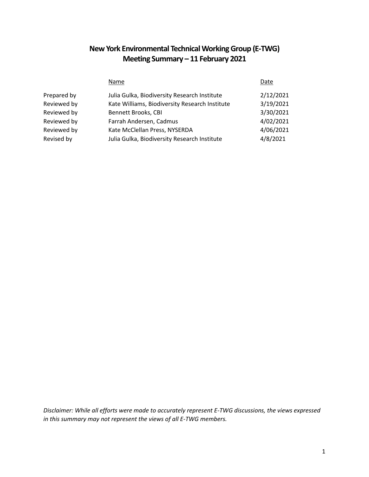# **New York Environmental Technical Working Group (E-TWG) Meeting Summary – 11 February 2021**

|             | Name                                           | Date      |
|-------------|------------------------------------------------|-----------|
| Prepared by | Julia Gulka, Biodiversity Research Institute   | 2/12/2021 |
| Reviewed by | Kate Williams, Biodiversity Research Institute | 3/19/2021 |
| Reviewed by | Bennett Brooks, CBI                            | 3/30/2021 |
| Reviewed by | Farrah Andersen, Cadmus                        | 4/02/2021 |
| Reviewed by | Kate McClellan Press, NYSERDA                  | 4/06/2021 |
| Revised by  | Julia Gulka, Biodiversity Research Institute   | 4/8/2021  |

*Disclaimer: While all efforts were made to accurately represent E-TWG discussions, the views expressed in this summary may not represent the views of all E-TWG members.*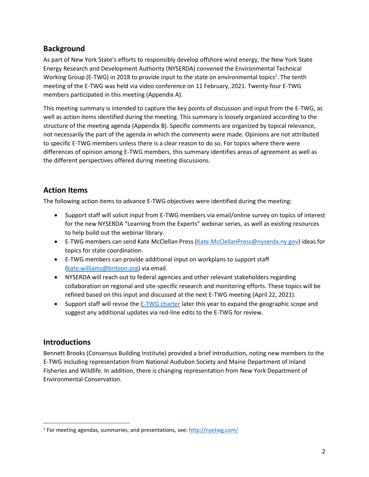## **Background**

As part of New York State's efforts to responsibly develop offshore wind energy, the New York State Energy Research and Development Authority (NYSERDA) convened the Environmental Technical Working Group (E-TWG) in 2018 to provide input to the state on environmental topics<sup>1</sup>. The tenth meeting of the E-TWG was held via video conference on 11 February, 2021. Twenty-four E-TWG members participated in this meeting (Appendix A).

This meeting summary is intended to capture the key points of discussion and input from the E-TWG, as well as action items identified during the meeting. This summary is loosely organized according to the structure of the meeting agenda (Appendix B). Specific comments are organized by topical relevance, not necessarily the part of the agenda in which the comments were made. Opinions are not attributed to specific E-TWG members unless there is a clear reason to do so. For topics where there were differences of opinion among E-TWG members, this summary identifies areas of agreement as well as the different perspectives offered during meeting discussions.

## **Action Items**

The following action items to advance E-TWG objectives were identified during the meeting:

- Support staff will solicit input from E-TWG members via email/online survey on topics of interest for the new NYSERDA "Learning from the Experts" webinar series, as well as existing resources to help build out the webinar library.
- E-TWG members can send Kate McClellan Press [\(Kate.McClellanPress@nyserda.ny.gov\)](mailto:Kate.McClellanPress@nyserda.ny.gov) ideas for topics for state coordination.
- E-TWG members can provide additional input on workplans to support staff [\(kate.williams@briloon.org\)](mailto:kate.williams@briloon.org) via email.
- NYSERDA will reach out to federal agencies and other relevant stakeholders regarding collaboration on regional and site-specific research and monitoring efforts. These topics will be refined based on this input and discussed at the next E-TWG meeting (April 22, 2021).
- Support staff will revise the [E-TWG charter](https://a6481a0e-2fbd-460f-b1df-f8ca1504074a.filesusr.com/ugd/78f0c4_c5ff2007e0ca4c72a92f83a4a9edb8cf.pdf?index=true) later this year to expand the geographic scope and suggest any additional updates via red-line edits to the E-TWG for review.

# **Introductions**

 $\overline{\phantom{a}}$ 

Bennett Brooks (Consensus Building Institute) provided a brief introduction, noting new members to the E-TWG including representation from National Audubon Society and Maine Department of Inland Fisheries and Wildlife. In addition, there is changing representation from New York Department of Environmental Conservation.

<sup>&</sup>lt;sup>1</sup> For meeting agendas, summaries, and presentations, see:<http://nyetwg.com/>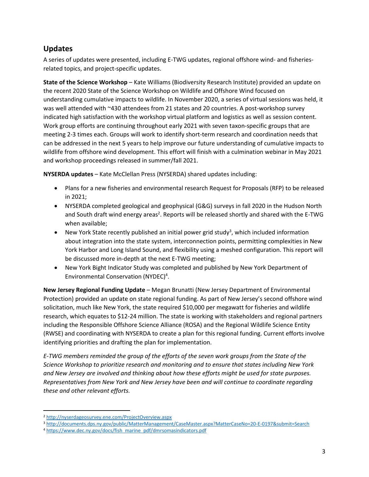### **Updates**

A series of updates were presented, including E-TWG updates, regional offshore wind- and fisheriesrelated topics, and project-specific updates.

**State of the Science Workshop** – Kate Williams (Biodiversity Research Institute) provided an update on the recent 2020 State of the Science Workshop on Wildlife and Offshore Wind focused on understanding cumulative impacts to wildlife. In November 2020, a series of virtual sessions was held, it was well attended with ~430 attendees from 21 states and 20 countries. A post-workshop survey indicated high satisfaction with the workshop virtual platform and logistics as well as session content. Work group efforts are continuing throughout early 2021 with seven taxon-specific groups that are meeting 2-3 times each. Groups will work to identify short-term research and coordination needs that can be addressed in the next 5 years to help improve our future understanding of cumulative impacts to wildlife from offshore wind development. This effort will finish with a culmination webinar in May 2021 and workshop proceedings released in summer/fall 2021.

**NYSERDA updates** – Kate McClellan Press (NYSERDA) shared updates including:

- Plans for a new fisheries and environmental research Request for Proposals (RFP) to be released in 2021;
- NYSERDA completed geological and geophysical (G&G) surveys in fall 2020 in the Hudson North and South draft wind energy areas<sup>2</sup>. Reports will be released shortly and shared with the E-TWG when available;
- New York State recently published an initial power grid study<sup>3</sup>, which included information about integration into the state system, interconnection points, permitting complexities in New York Harbor and Long Island Sound, and flexibility using a meshed configuration. This report will be discussed more in-depth at the next E-TWG meeting;
- New York Bight Indicator Study was completed and published by New York Department of Environmental Conservation (NYDEC)<sup>4</sup>.

**New Jersey Regional Funding Update** – Megan Brunatti (New Jersey Department of Environmental Protection) provided an update on state regional funding. As part of New Jersey's second offshore wind solicitation, much like New York, the state required \$10,000 per megawatt for fisheries and wildlife research, which equates to \$12-24 million. The state is working with stakeholders and regional partners including the Responsible Offshore Science Alliance (ROSA) and the Regional Wildlife Science Entity (RWSE) and coordinating with NYSERDA to create a plan for this regional funding. Current efforts involve identifying priorities and drafting the plan for implementation.

*E-TWG members reminded the group of the efforts of the seven work groups from the State of the Science Workshop to prioritize research and monitoring and to ensure that states including New York and New Jersey are involved and thinking about how these efforts might be used for state purposes. Representatives from New York and New Jersey have been and will continue to coordinate regarding these and other relevant efforts.*

 $\overline{\phantom{a}}$ 

<sup>2</sup> <http://nyserdageosurvey.ene.com/ProjectOverview.aspx>

<sup>3</sup> <http://documents.dps.ny.gov/public/MatterManagement/CaseMaster.aspx?MatterCaseNo=20-E-0197&submit=Search>

<sup>4</sup> [https://www.dec.ny.gov/docs/fish\\_marine\\_pdf/dmrsomasindicators.pdf](https://www.dec.ny.gov/docs/fish_marine_pdf/dmrsomasindicators.pdf)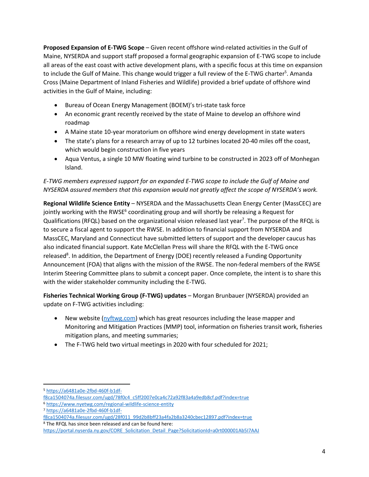**Proposed Expansion of E-TWG Scope** – Given recent offshore wind-related activities in the Gulf of Maine, NYSERDA and support staff proposed a formal geographic expansion of E-TWG scope to include all areas of the east coast with active development plans, with a specific focus at this time on expansion to include the Gulf of Maine. This change would trigger a full review of the E-TWG charter<sup>5</sup>. Amanda Cross (Maine Department of Inland Fisheries and Wildlife) provided a brief update of offshore wind activities in the Gulf of Maine, including:

- Bureau of Ocean Energy Management (BOEM)'s tri-state task force
- An economic grant recently received by the state of Maine to develop an offshore wind roadmap
- A Maine state 10-year moratorium on offshore wind energy development in state waters
- The state's plans for a research array of up to 12 turbines located 20-40 miles off the coast, which would begin construction in five years
- Aqua Ventus, a single 10 MW floating wind turbine to be constructed in 2023 off of Monhegan Island.

### *E-TWG members expressed support for an expanded E-TWG scope to include the Gulf of Maine and NYSERDA assured members that this expansion would not greatly affect the scope of NYSERDA's work.*

**Regional Wildlife Science Entity** – NYSERDA and the Massachusetts Clean Energy Center (MassCEC) are jointly working with the RWSE<sup>6</sup> coordinating group and will shortly be releasing a Request for Qualifications (RFQL) based on the organizational vision released last year<sup>7</sup>. The purpose of the RFQL is to secure a fiscal agent to support the RWSE. In addition to financial support from NYSERDA and MassCEC, Maryland and Connecticut have submitted letters of support and the developer caucus has also indicated financial support. Kate McClellan Press will share the RFQL with the E-TWG once released<sup>8</sup>. In addition, the Department of Energy (DOE) recently released a Funding Opportunity Announcement (FOA) that aligns with the mission of the RWSE. The non-federal members of the RWSE Interim Steering Committee plans to submit a concept paper. Once complete, the intent is to share this with the wider stakeholder community including the E-TWG.

**Fisheries Technical Working Group (F-TWG) updates** – Morgan Brunbauer (NYSERDA) provided an update on F-TWG activities including:

- New website [\(nyftwg.com\)](http://nyftwg.com/) which has great resources including the lease mapper and Monitoring and Mitigation Practices (MMP) tool, information on fisheries transit work, fisheries mitigation plans, and meeting summaries;
- The F-TWG held two virtual meetings in 2020 with four scheduled for 2021;

 $\overline{\phantom{a}}$ <sup>5</sup> [https://a6481a0e-2fbd-460f-b1df-](https://a6481a0e-2fbd-460f-b1df-f8ca1504074a.filesusr.com/ugd/78f0c4_c5ff2007e0ca4c72a92f83a4a9edb8cf.pdf?index=true)

[f8ca1504074a.filesusr.com/ugd/78f0c4\\_c5ff2007e0ca4c72a92f83a4a9edb8cf.pdf?index=true](https://a6481a0e-2fbd-460f-b1df-f8ca1504074a.filesusr.com/ugd/78f0c4_c5ff2007e0ca4c72a92f83a4a9edb8cf.pdf?index=true)

<sup>6</sup> <https://www.nyetwg.com/regional-wildlife-science-entity>

<sup>7</sup> [https://a6481a0e-2fbd-460f-b1df-](https://a6481a0e-2fbd-460f-b1df-f8ca1504074a.filesusr.com/ugd/28f011_99d2b8bff23a4fa2b8a3240cbec12897.pdf?index=true)

[f8ca1504074a.filesusr.com/ugd/28f011\\_99d2b8bff23a4fa2b8a3240cbec12897.pdf?index=true](https://a6481a0e-2fbd-460f-b1df-f8ca1504074a.filesusr.com/ugd/28f011_99d2b8bff23a4fa2b8a3240cbec12897.pdf?index=true) <sup>8</sup> The RFQL has since been released and can be found here:

https://portal.nyserda.ny.gov/CORE Solicitation Detail Page?SolicitationId=a0rt000001Ab5I7AAJ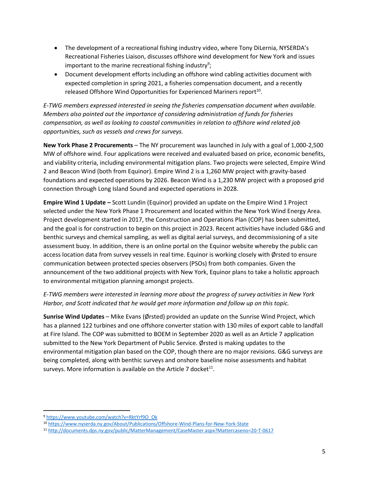- The development of a recreational fishing industry video, where Tony DiLernia, NYSERDA's Recreational Fisheries Liaison, discusses offshore wind development for New York and issues important to the marine recreational fishing industry<sup>9</sup>;
- Document development efforts including an offshore wind cabling activities document with expected completion in spring 2021, a fisheries compensation document, and a recently released Offshore Wind Opportunities for Experienced Mariners report $^{10}$ .

*E-TWG members expressed interested in seeing the fisheries compensation document when available. Members also pointed out the importance of considering administration of funds for fisheries compensation, as well as looking to coastal communities in relation to offshore wind related job opportunities, such as vessels and crews for surveys.*

**New York Phase 2 Procurements** – The NY procurement was launched in July with a goal of 1,000-2,500 MW of offshore wind. Four applications were received and evaluated based on price, economic benefits, and viability criteria, including environmental mitigation plans. Two projects were selected, Empire Wind 2 and Beacon Wind (both from Equinor). Empire Wind 2 is a 1,260 MW project with gravity-based foundations and expected operations by 2026. Beacon Wind is a 1,230 MW project with a proposed grid connection through Long Island Sound and expected operations in 2028.

**Empire Wind 1 Update –** Scott Lundin (Equinor) provided an update on the Empire Wind 1 Project selected under the New York Phase 1 Procurement and located within the New York Wind Energy Area. Project development started in 2017, the Construction and Operations Plan (COP) has been submitted, and the goal is for construction to begin on this project in 2023. Recent activities have included G&G and benthic surveys and chemical sampling, as well as digital aerial surveys, and decommissioning of a site assessment buoy. In addition, there is an online portal on the Equinor website whereby the public can access location data from survey vessels in real time. Equinor is working closely with Ørsted to ensure communication between protected species observers (PSOs) from both companies. Given the announcement of the two additional projects with New York, Equinor plans to take a holistic approach to environmental mitigation planning amongst projects.

*E-TWG members were interested in learning more about the progress of survey activities in New York Harbor, and Scott indicated that he would get more information and follow up on this topic.*

**Sunrise Wind Updates** – Mike Evans (Ørsted) provided an update on the Sunrise Wind Project, which has a planned 122 turbines and one offshore converter station with 130 miles of export cable to landfall at Fire Island. The COP was submitted to BOEM in September 2020 as well as an Article 7 application submitted to the New York Department of Public Service. Ørsted is making updates to the environmental mitigation plan based on the COP, though there are no major revisions. G&G surveys are being completed, along with benthic surveys and onshore baseline noise assessments and habitat surveys. More information is available on the Article 7 docket<sup>11</sup>.

 $\overline{\phantom{a}}$ 

<sup>9</sup> [https://www.youtube.com/watch?v=RktYrf9O\\_Ok](https://www.youtube.com/watch?v=RktYrf9O_Ok)

<sup>10</sup> <https://www.nyserda.ny.gov/About/Publications/Offshore-Wind-Plans-for-New-York-State>

<sup>11</sup> <http://documents.dps.ny.gov/public/MatterManagement/CaseMaster.aspx?Mattercaseno=20-T-0617>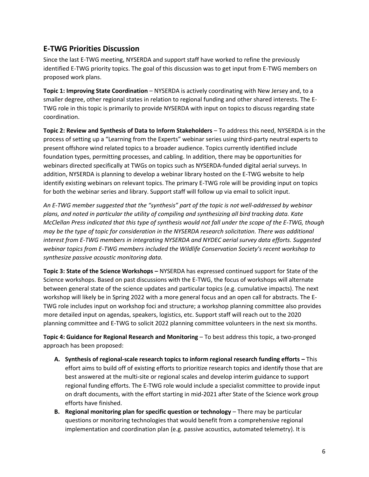## **E-TWG Priorities Discussion**

Since the last E-TWG meeting, NYSERDA and support staff have worked to refine the previously identified E-TWG priority topics. The goal of this discussion was to get input from E-TWG members on proposed work plans.

**Topic 1: Improving State Coordination** – NYSERDA is actively coordinating with New Jersey and, to a smaller degree, other regional states in relation to regional funding and other shared interests. The E-TWG role in this topic is primarily to provide NYSERDA with input on topics to discuss regarding state coordination.

**Topic 2: Review and Synthesis of Data to Inform Stakeholders** – To address this need, NYSERDA is in the process of setting up a "Learning from the Experts" webinar series using third-party neutral experts to present offshore wind related topics to a broader audience. Topics currently identified include foundation types, permitting processes, and cabling. In addition, there may be opportunities for webinars directed specifically at TWGs on topics such as NYSERDA-funded digital aerial surveys. In addition, NYSERDA is planning to develop a webinar library hosted on the E-TWG website to help identify existing webinars on relevant topics. The primary E-TWG role will be providing input on topics for both the webinar series and library. Support staff will follow up via email to solicit input.

*An E-TWG member suggested that the "synthesis" part of the topic is not well-addressed by webinar plans, and noted in particular the utility of compiling and synthesizing all bird tracking data. Kate McClellan Press indicated that this type of synthesis would not fall under the scope of the E-TWG, though may be the type of topic for consideration in the NYSERDA research solicitation. There was additional interest from E-TWG members in integrating NYSERDA and NYDEC aerial survey data efforts. Suggested webinar topics from E-TWG members included the Wildlife Conservation Society's recent workshop to synthesize passive acoustic monitoring data.*

**Topic 3: State of the Science Workshops –** NYSERDA has expressed continued support for State of the Science workshops. Based on past discussions with the E-TWG, the focus of workshops will alternate between general state of the science updates and particular topics (e.g. cumulative impacts). The next workshop will likely be in Spring 2022 with a more general focus and an open call for abstracts. The E-TWG role includes input on workshop foci and structure; a workshop planning committee also provides more detailed input on agendas, speakers, logistics, etc. Support staff will reach out to the 2020 planning committee and E-TWG to solicit 2022 planning committee volunteers in the next six months.

**Topic 4: Guidance for Regional Research and Monitoring** – To best address this topic, a two-pronged approach has been proposed:

- **A. Synthesis of regional-scale research topics to inform regional research funding efforts –** This effort aims to build off of existing efforts to prioritize research topics and identify those that are best answered at the multi-site or regional scales and develop interim guidance to support regional funding efforts. The E-TWG role would include a specialist committee to provide input on draft documents, with the effort starting in mid-2021 after State of the Science work group efforts have finished.
- **B. Regional monitoring plan for specific question or technology** There may be particular questions or monitoring technologies that would benefit from a comprehensive regional implementation and coordination plan (e.g. passive acoustics, automated telemetry). It is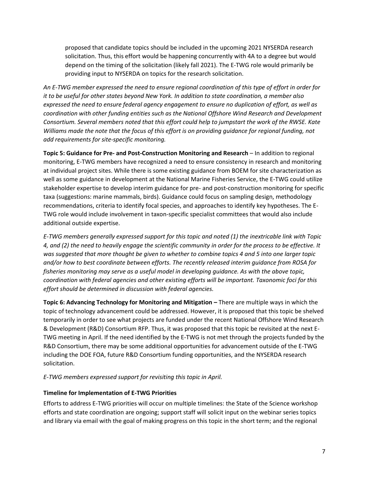proposed that candidate topics should be included in the upcoming 2021 NYSERDA research solicitation. Thus, this effort would be happening concurrently with 4A to a degree but would depend on the timing of the solicitation (likely fall 2021). The E-TWG role would primarily be providing input to NYSERDA on topics for the research solicitation.

*An E-TWG member expressed the need to ensure regional coordination of this type of effort in order for it to be useful for other states beyond New York. In addition to state coordination, a member also expressed the need to ensure federal agency engagement to ensure no duplication of effort, as well as coordination with other funding entities such as the National Offshore Wind Research and Development Consortium. Several members noted that this effort could help to jumpstart the work of the RWSE. Kate Williams made the note that the focus of this effort is on providing guidance for regional funding, not add requirements for site-specific monitoring.*

**Topic 5: Guidance for Pre- and Post-Construction Monitoring and Research** – In addition to regional monitoring, E-TWG members have recognized a need to ensure consistency in research and monitoring at individual project sites. While there is some existing guidance from BOEM for site characterization as well as some guidance in development at the National Marine Fisheries Service, the E-TWG could utilize stakeholder expertise to develop interim guidance for pre- and post-construction monitoring for specific taxa (suggestions: marine mammals, birds). Guidance could focus on sampling design, methodology recommendations, criteria to identify focal species, and approaches to identify key hypotheses. The E-TWG role would include involvement in taxon-specific specialist committees that would also include additional outside expertise.

*E-TWG members generally expressed support for this topic and noted (1) the inextricable link with Topic 4, and (2) the need to heavily engage the scientific community in order for the process to be effective. It was suggested that more thought be given to whether to combine topics 4 and 5 into one larger topic and/or how to best coordinate between efforts. The recently released interim guidance from ROSA for fisheries monitoring may serve as a useful model in developing guidance. As with the above topic, coordination with federal agencies and other existing efforts will be important. Taxonomic foci for this effort should be determined in discussion with federal agencies.*

**Topic 6: Advancing Technology for Monitoring and Mitigation –** There are multiple ways in which the topic of technology advancement could be addressed. However, it is proposed that this topic be shelved temporarily in order to see what projects are funded under the recent National Offshore Wind Research & Development (R&D) Consortium RFP. Thus, it was proposed that this topic be revisited at the next E-TWG meeting in April. If the need identified by the E-TWG is not met through the projects funded by the R&D Consortium, there may be some additional opportunities for advancement outside of the E-TWG including the DOE FOA, future R&D Consortium funding opportunities, and the NYSERDA research solicitation.

*E-TWG members expressed support for revisiting this topic in April.*

#### **Timeline for Implementation of E-TWG Priorities**

Efforts to address E-TWG priorities will occur on multiple timelines: the State of the Science workshop efforts and state coordination are ongoing; support staff will solicit input on the webinar series topics and library via email with the goal of making progress on this topic in the short term; and the regional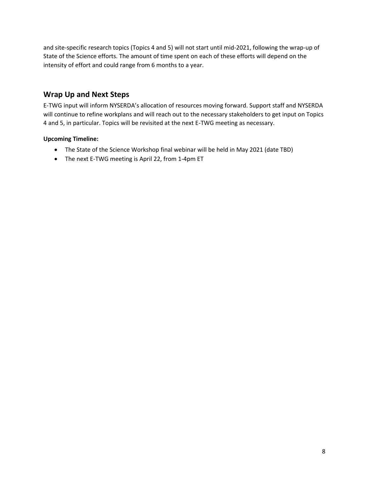and site-specific research topics (Topics 4 and 5) will not start until mid-2021, following the wrap-up of State of the Science efforts. The amount of time spent on each of these efforts will depend on the intensity of effort and could range from 6 months to a year.

## **Wrap Up and Next Steps**

E-TWG input will inform NYSERDA's allocation of resources moving forward. Support staff and NYSERDA will continue to refine workplans and will reach out to the necessary stakeholders to get input on Topics 4 and 5, in particular. Topics will be revisited at the next E-TWG meeting as necessary.

### **Upcoming Timeline:**

- The State of the Science Workshop final webinar will be held in May 2021 (date TBD)
- The next E-TWG meeting is April 22, from 1-4pm ET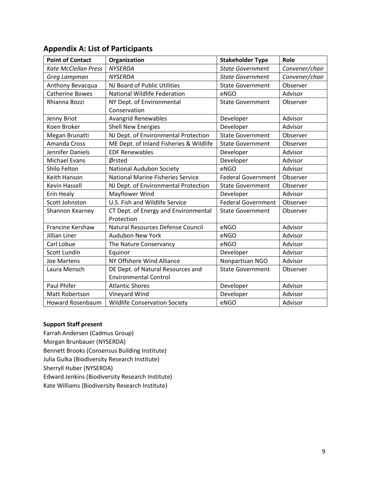| <b>Point of Contact</b>     | Organization                             | <b>Stakeholder Type</b>   | Role           |
|-----------------------------|------------------------------------------|---------------------------|----------------|
| <b>Kate McClellan Press</b> | <b>NYSERDA</b>                           | <b>State Government</b>   | Convener/chair |
| Greg Lampman                | <b>NYSERDA</b>                           | <b>State Government</b>   | Convener/chair |
| Anthony Bevacqua            | NJ Board of Public Utilities             | <b>State Government</b>   | Observer       |
| <b>Catherine Bowes</b>      | <b>National Wildlife Federation</b>      | eNGO                      | Advisor        |
| Rhianna Bozzi               | NY Dept. of Environmental                | <b>State Government</b>   | Observer       |
|                             | Conservation                             |                           |                |
| Jenny Briot                 | Avangrid Renewables                      | Developer                 | Advisor        |
| Koen Broker                 | <b>Shell New Energies</b>                | Developer                 | Advisor        |
| Megan Brunatti              | NJ Dept. of Environmental Protection     | <b>State Government</b>   | Observer       |
| <b>Amanda Cross</b>         | ME Dept. of Inland Fisheries & Wildlife  | <b>State Government</b>   | Observer       |
| Jennifer Daniels            | <b>EDF Renewables</b>                    | Developer                 | Advisor        |
| <b>Michael Evans</b>        | Ørsted                                   | Developer                 | Advisor        |
| Shilo Felton                | <b>National Audubon Society</b>          | eNGO                      | Advisor        |
| Keith Hanson                | <b>National Marine Fisheries Service</b> | <b>Federal Government</b> | Observer       |
| <b>Kevin Hassell</b>        | NJ Dept. of Environmental Protection     | <b>State Government</b>   | Observer       |
| Erin Healy                  | Mayflower Wind                           | Developer                 | Advisor        |
| Scott Johnston              | U.S. Fish and Wildlife Service           | <b>Federal Government</b> | Observer       |
| Shannon Kearney             | CT Dept. of Energy and Environmental     | <b>State Government</b>   | Observer       |
|                             | Protection                               |                           |                |
| <b>Francine Kershaw</b>     | Natural Resources Defense Council        | eNGO                      | Advisor        |
| Jillian Liner               | <b>Audubon New York</b>                  | eNGO                      | Advisor        |
| Carl Lobue                  | The Nature Conservancy                   | eNGO                      | Advisor        |
| Scott Lundin                | Equinor                                  | Developer                 | Advisor        |
| <b>Joe Martens</b>          | NY Offshore Wind Alliance                | Nonpartisan NGO           | Advisor        |
| Laura Mensch                | DE Dept. of Natural Resources and        | <b>State Government</b>   | Observer       |
|                             | <b>Environmental Control</b>             |                           |                |
| <b>Paul Phifer</b>          | <b>Atlantic Shores</b>                   | Developer                 | Advisor        |
| Matt Robertson              | Vineyard Wind                            | Developer                 | Advisor        |
| <b>Howard Rosenbaum</b>     | <b>Wildlife Conservation Society</b>     | eNGO                      | Advisor        |

### **Appendix A: List of Participants**

### **Support Staff present**

Farrah Andersen (Cadmus Group) Morgan Brunbauer (NYSERDA) Bennett Brooks (Consensus Building Institute) Julia Gulka (Biodiversity Research Institute) Sherryll Huber (NYSERDA) Edward Jenkins (Biodiversity Research Institute) Kate Williams (Biodiversity Research Institute)